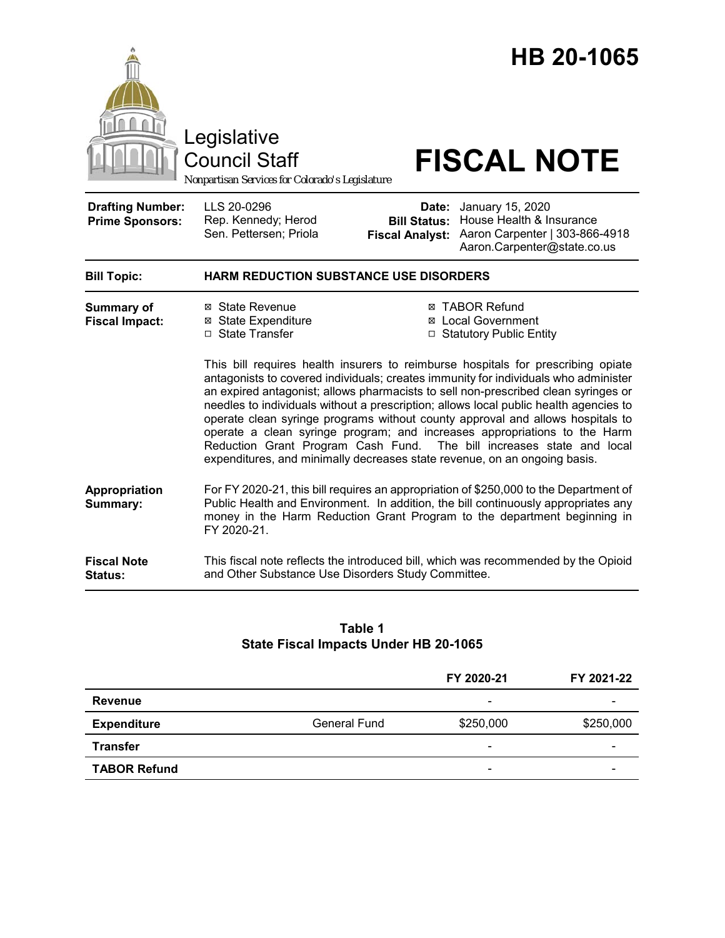

Legislative

Council Staff

*Nonpartisan Services for Colorado's Legislature*

# **FISCAL NOTE**

| <b>Drafting Number:</b><br><b>Prime Sponsors:</b> | LLS 20-0296<br>Rep. Kennedy; Herod<br>Sen. Pettersen; Priola | <b>Date:</b> January 15, 2020<br><b>Bill Status: House Health &amp; Insurance</b><br>Fiscal Analyst: Aaron Carpenter   303-866-4918<br>Aaron.Carpenter@state.co.us |
|---------------------------------------------------|--------------------------------------------------------------|--------------------------------------------------------------------------------------------------------------------------------------------------------------------|
|                                                   |                                                              |                                                                                                                                                                    |

| <b>Bill Topic:</b>    | <b>HARM REDUCTION SUBSTANCE USE DISORDERS</b> |                    |  |
|-----------------------|-----------------------------------------------|--------------------|--|
| <b>Summary of</b>     | ⊠ State Revenue                               | ⊠ TABOR Refund     |  |
| <b>Fiscal Impact:</b> | ⊠ State Expenditure                           | ⊠ Local Government |  |

□ State Transfer  $\Box$  Statutory Public Entity This bill requires health insurers to reimburse hospitals for prescribing opiate antagonists to covered individuals; creates immunity for individuals who administer an expired antagonist; allows pharmacists to sell non-prescribed clean syringes or needles to individuals without a prescription; allows local public health agencies to operate clean syringe programs without county approval and allows hospitals to operate a clean syringe program; and increases appropriations to the Harm Reduction Grant Program Cash Fund. The bill increases state and local

expenditures, and minimally decreases state revenue, on an ongoing basis.

**Appropriation Summary:**  For FY 2020-21, this bill requires an appropriation of \$250,000 to the Department of Public Health and Environment. In addition, the bill continuously appropriates any money in the Harm Reduction Grant Program to the department beginning in FY 2020-21.

**Fiscal Note Status:** This fiscal note reflects the introduced bill, which was recommended by the Opioid and Other Substance Use Disorders Study Committee.

## **Table 1 State Fiscal Impacts Under HB 20-1065**

|                     |              | FY 2020-21               | FY 2021-22 |
|---------------------|--------------|--------------------------|------------|
| Revenue             |              | -                        |            |
| <b>Expenditure</b>  | General Fund | \$250,000                | \$250,000  |
| <b>Transfer</b>     |              | $\overline{\phantom{0}}$ | -          |
| <b>TABOR Refund</b> |              | $\overline{\phantom{a}}$ |            |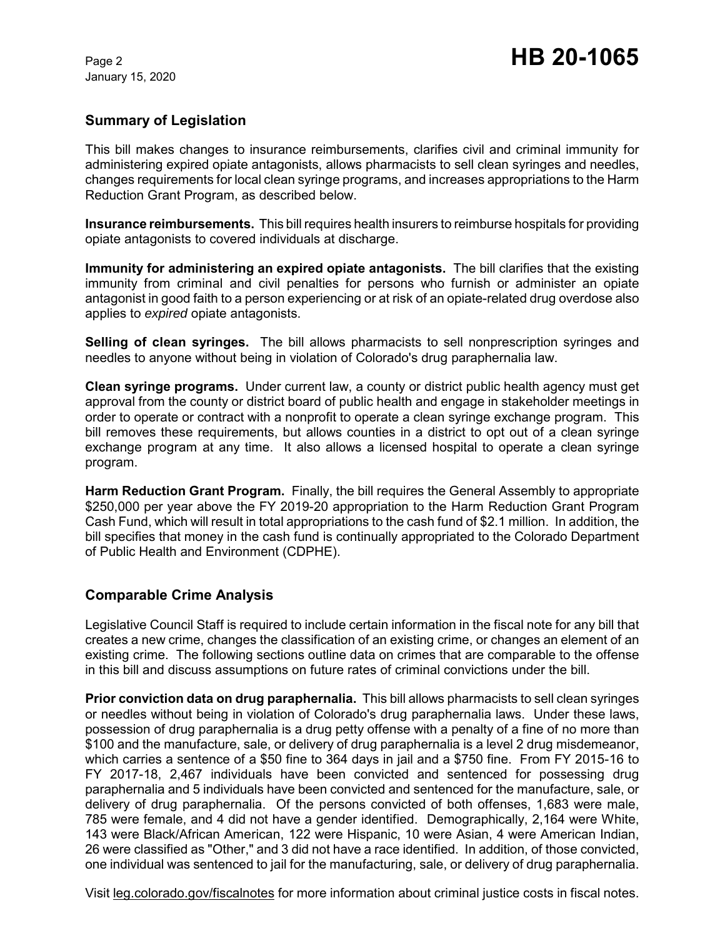January 15, 2020

## **Summary of Legislation**

This bill makes changes to insurance reimbursements, clarifies civil and criminal immunity for administering expired opiate antagonists, allows pharmacists to sell clean syringes and needles, changes requirements for local clean syringe programs, and increases appropriations to the Harm Reduction Grant Program, as described below.

**Insurance reimbursements.** This bill requires health insurers to reimburse hospitals for providing opiate antagonists to covered individuals at discharge.

**Immunity for administering an expired opiate antagonists.** The bill clarifies that the existing immunity from criminal and civil penalties for persons who furnish or administer an opiate antagonist in good faith to a person experiencing or at risk of an opiate-related drug overdose also applies to *expired* opiate antagonists.

**Selling of clean syringes.** The bill allows pharmacists to sell nonprescription syringes and needles to anyone without being in violation of Colorado's drug paraphernalia law.

**Clean syringe programs.** Under current law, a county or district public health agency must get approval from the county or district board of public health and engage in stakeholder meetings in order to operate or contract with a nonprofit to operate a clean syringe exchange program. This bill removes these requirements, but allows counties in a district to opt out of a clean syringe exchange program at any time. It also allows a licensed hospital to operate a clean syringe program.

**Harm Reduction Grant Program.** Finally, the bill requires the General Assembly to appropriate \$250,000 per year above the FY 2019-20 appropriation to the Harm Reduction Grant Program Cash Fund, which will result in total appropriations to the cash fund of \$2.1 million. In addition, the bill specifies that money in the cash fund is continually appropriated to the Colorado Department of Public Health and Environment (CDPHE).

## **Comparable Crime Analysis**

Legislative Council Staff is required to include certain information in the fiscal note for any bill that creates a new crime, changes the classification of an existing crime, or changes an element of an existing crime. The following sections outline data on crimes that are comparable to the offense in this bill and discuss assumptions on future rates of criminal convictions under the bill.

**Prior conviction data on drug paraphernalia.** This bill allows pharmacists to sell clean syringes or needles without being in violation of Colorado's drug paraphernalia laws. Under these laws, possession of drug paraphernalia is a drug petty offense with a penalty of a fine of no more than \$100 and the manufacture, sale, or delivery of drug paraphernalia is a level 2 drug misdemeanor, which carries a sentence of a \$50 fine to 364 days in jail and a \$750 fine. From FY 2015-16 to FY 2017-18, 2,467 individuals have been convicted and sentenced for possessing drug paraphernalia and 5 individuals have been convicted and sentenced for the manufacture, sale, or delivery of drug paraphernalia. Of the persons convicted of both offenses, 1,683 were male, 785 were female, and 4 did not have a gender identified. Demographically, 2,164 were White, 143 were Black/African American, 122 were Hispanic, 10 were Asian, 4 were American Indian, 26 were classified as "Other," and 3 did not have a race identified. In addition, of those convicted, one individual was sentenced to jail for the manufacturing, sale, or delivery of drug paraphernalia.

Visit leg.colorado.gov/fiscalnotes for more information about criminal justice costs in fiscal notes.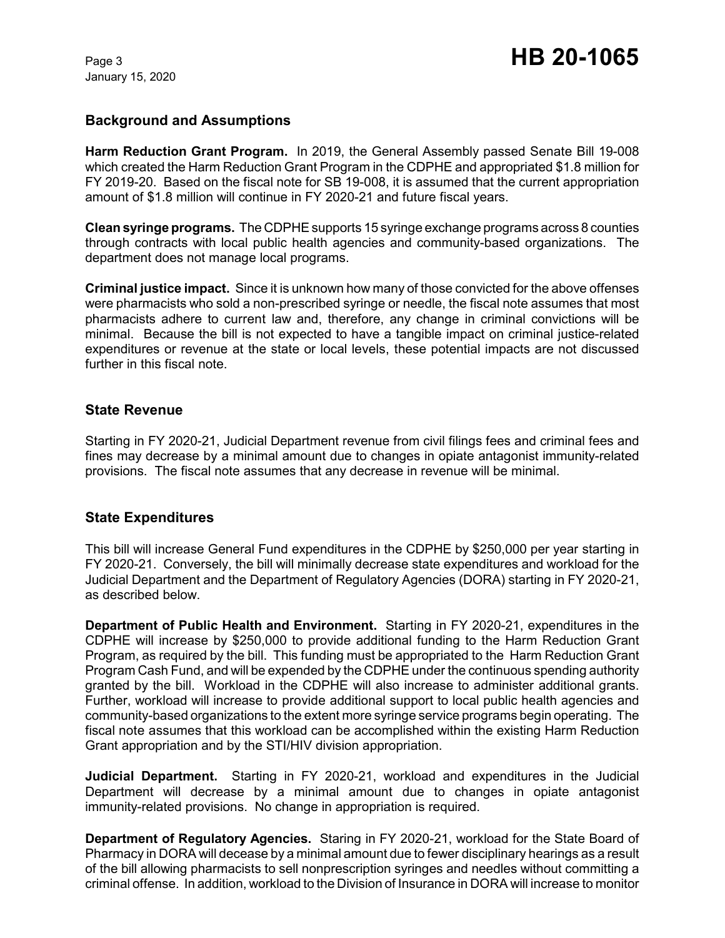January 15, 2020

### **Background and Assumptions**

**Harm Reduction Grant Program.** In 2019, the General Assembly passed Senate Bill 19-008 which created the Harm Reduction Grant Program in the CDPHE and appropriated \$1.8 million for FY 2019-20. Based on the fiscal note for SB 19-008, it is assumed that the current appropriation amount of \$1.8 million will continue in FY 2020-21 and future fiscal years.

**Clean syringe programs.** The CDPHEsupports 15 syringe exchange programs across 8 counties through contracts with local public health agencies and community-based organizations. The department does not manage local programs.

**Criminal justice impact.** Since it is unknown how many of those convicted for the above offenses were pharmacists who sold a non-prescribed syringe or needle, the fiscal note assumes that most pharmacists adhere to current law and, therefore, any change in criminal convictions will be minimal. Because the bill is not expected to have a tangible impact on criminal justice-related expenditures or revenue at the state or local levels, these potential impacts are not discussed further in this fiscal note.

#### **State Revenue**

Starting in FY 2020-21, Judicial Department revenue from civil filings fees and criminal fees and fines may decrease by a minimal amount due to changes in opiate antagonist immunity-related provisions. The fiscal note assumes that any decrease in revenue will be minimal.

#### **State Expenditures**

This bill will increase General Fund expenditures in the CDPHE by \$250,000 per year starting in FY 2020-21. Conversely, the bill will minimally decrease state expenditures and workload for the Judicial Department and the Department of Regulatory Agencies (DORA) starting in FY 2020-21, as described below.

**Department of Public Health and Environment.** Starting in FY 2020-21, expenditures in the CDPHE will increase by \$250,000 to provide additional funding to the Harm Reduction Grant Program, as required by the bill. This funding must be appropriated to the Harm Reduction Grant Program Cash Fund, and will be expended by the CDPHE under the continuous spending authority granted by the bill. Workload in the CDPHE will also increase to administer additional grants. Further, workload will increase to provide additional support to local public health agencies and community-based organizations to the extent more syringe service programs begin operating. The fiscal note assumes that this workload can be accomplished within the existing Harm Reduction Grant appropriation and by the STI/HIV division appropriation.

**Judicial Department.** Starting in FY 2020-21, workload and expenditures in the Judicial Department will decrease by a minimal amount due to changes in opiate antagonist immunity-related provisions. No change in appropriation is required.

**Department of Regulatory Agencies.** Staring in FY 2020-21, workload for the State Board of Pharmacy in DORA will decease by a minimal amount due to fewer disciplinary hearings as a result of the bill allowing pharmacists to sell nonprescription syringes and needles without committing a criminal offense. In addition, workload to the Division of Insurance in DORA will increase to monitor